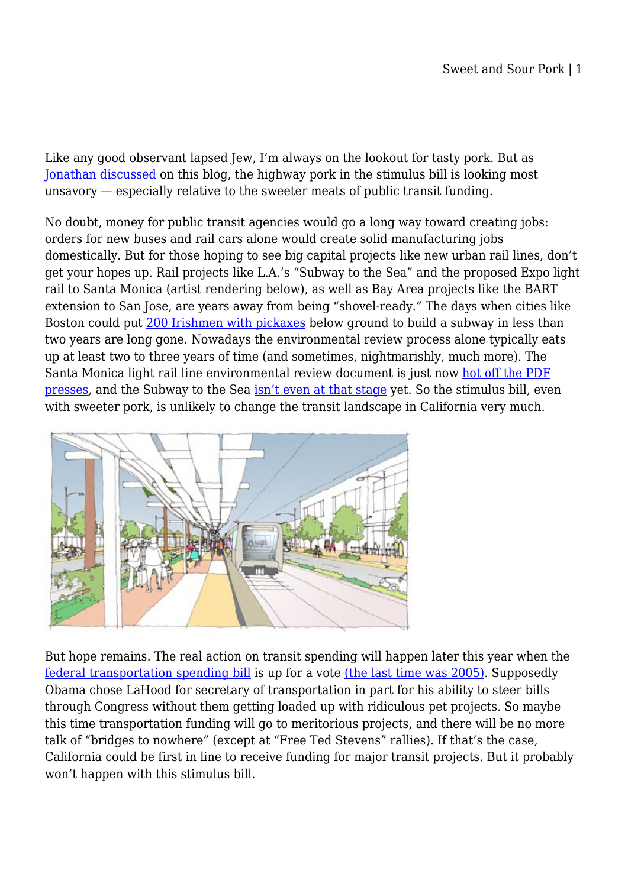Like any good observant lapsed Jew, I'm always on the lookout for tasty pork. But as [Jonathan discussed](http://environmentallaw.wordpress.com/2009/02/03/barack-obama-americas-1-liberal/) on this blog, the highway pork in the stimulus bill is looking most unsavory — especially relative to the sweeter meats of public transit funding.

No doubt, money for public transit agencies would go a long way toward creating jobs: orders for new buses and rail cars alone would create solid manufacturing jobs domestically. But for those hoping to see big capital projects like new urban rail lines, don't get your hopes up. Rail projects like L.A.'s "Subway to the Sea" and the proposed Expo light rail to Santa Monica (artist rendering below), as well as Bay Area projects like the BART extension to San Jose, are years away from being "shovel-ready." The days when cities like Boston could put [200 Irishmen with pickaxes](http://godine.com/isbn.asp?isbn=1567922848) below ground to build a subway in less than two years are long gone. Nowadays the environmental review process alone typically eats up at least two to three years of time (and sometimes, nightmarishly, much more). The Santa Monica light rail line environmental review document is just now [hot off the PDF](http://www.buildexpo.org/phase2_overview.php) [presses,](http://www.buildexpo.org/phase2_overview.php) and the Subway to the Sea [isn't even at that stage](http://metro.net/projects_studies/westside/default.htm) yet. So the stimulus bill, even with sweeter pork, is unlikely to change the transit landscape in California very much.



But hope remains. The real action on transit spending will happen later this year when the [federal transportation spending bill](http://transformca.org/campaign/federal-transportation-bill) is up for a vote [\(the last time was 2005\)](http://www.fhwa.dot.gov/safetealu/index.htm). Supposedly Obama chose LaHood for secretary of transportation in part for his ability to steer bills through Congress without them getting loaded up with ridiculous pet projects. So maybe this time transportation funding will go to meritorious projects, and there will be no more talk of "bridges to nowhere" (except at "Free Ted Stevens" rallies). If that's the case, California could be first in line to receive funding for major transit projects. But it probably won't happen with this stimulus bill.